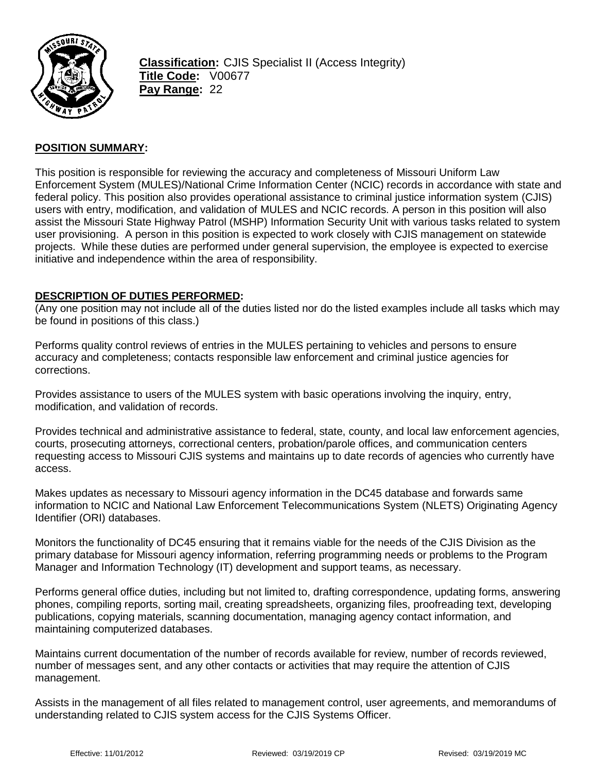

**Classification:** CJIS Specialist II (Access Integrity) **Title Code:** V00677 **Pay Range:** 22

### **POSITION SUMMARY:**

This position is responsible for reviewing the accuracy and completeness of Missouri Uniform Law Enforcement System (MULES)/National Crime Information Center (NCIC) records in accordance with state and federal policy. This position also provides operational assistance to criminal justice information system (CJIS) users with entry, modification, and validation of MULES and NCIC records. A person in this position will also assist the Missouri State Highway Patrol (MSHP) Information Security Unit with various tasks related to system user provisioning. A person in this position is expected to work closely with CJIS management on statewide projects. While these duties are performed under general supervision, the employee is expected to exercise initiative and independence within the area of responsibility.

#### **DESCRIPTION OF DUTIES PERFORMED:**

(Any one position may not include all of the duties listed nor do the listed examples include all tasks which may be found in positions of this class.)

Performs quality control reviews of entries in the MULES pertaining to vehicles and persons to ensure accuracy and completeness; contacts responsible law enforcement and criminal justice agencies for corrections.

Provides assistance to users of the MULES system with basic operations involving the inquiry, entry, modification, and validation of records.

Provides technical and administrative assistance to federal, state, county, and local law enforcement agencies, courts, prosecuting attorneys, correctional centers, probation/parole offices, and communication centers requesting access to Missouri CJIS systems and maintains up to date records of agencies who currently have access.

Makes updates as necessary to Missouri agency information in the DC45 database and forwards same information to NCIC and National Law Enforcement Telecommunications System (NLETS) Originating Agency Identifier (ORI) databases.

Monitors the functionality of DC45 ensuring that it remains viable for the needs of the CJIS Division as the primary database for Missouri agency information, referring programming needs or problems to the Program Manager and Information Technology (IT) development and support teams, as necessary.

Performs general office duties, including but not limited to, drafting correspondence, updating forms, answering phones, compiling reports, sorting mail, creating spreadsheets, organizing files, proofreading text, developing publications, copying materials, scanning documentation, managing agency contact information, and maintaining computerized databases.

Maintains current documentation of the number of records available for review, number of records reviewed, number of messages sent, and any other contacts or activities that may require the attention of CJIS management.

Assists in the management of all files related to management control, user agreements, and memorandums of understanding related to CJIS system access for the CJIS Systems Officer.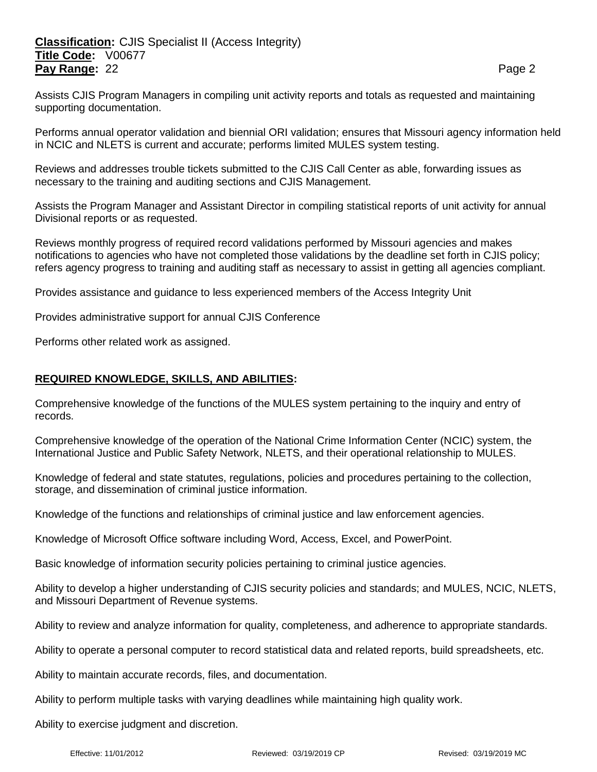# **Classification:** CJIS Specialist II (Access Integrity) **Title Code:** V00677 **Pay Range:** 22 **Page 2 Page 2 Page 2 Page 2 Page 2**

Assists CJIS Program Managers in compiling unit activity reports and totals as requested and maintaining supporting documentation.

Performs annual operator validation and biennial ORI validation; ensures that Missouri agency information held in NCIC and NLETS is current and accurate; performs limited MULES system testing.

Reviews and addresses trouble tickets submitted to the CJIS Call Center as able, forwarding issues as necessary to the training and auditing sections and CJIS Management.

Assists the Program Manager and Assistant Director in compiling statistical reports of unit activity for annual Divisional reports or as requested.

Reviews monthly progress of required record validations performed by Missouri agencies and makes notifications to agencies who have not completed those validations by the deadline set forth in CJIS policy; refers agency progress to training and auditing staff as necessary to assist in getting all agencies compliant.

Provides assistance and guidance to less experienced members of the Access Integrity Unit

Provides administrative support for annual CJIS Conference

Performs other related work as assigned.

### **REQUIRED KNOWLEDGE, SKILLS, AND ABILITIES:**

Comprehensive knowledge of the functions of the MULES system pertaining to the inquiry and entry of records.

Comprehensive knowledge of the operation of the National Crime Information Center (NCIC) system, the International Justice and Public Safety Network, NLETS, and their operational relationship to MULES.

Knowledge of federal and state statutes, regulations, policies and procedures pertaining to the collection, storage, and dissemination of criminal justice information.

Knowledge of the functions and relationships of criminal justice and law enforcement agencies.

Knowledge of Microsoft Office software including Word, Access, Excel, and PowerPoint.

Basic knowledge of information security policies pertaining to criminal justice agencies.

Ability to develop a higher understanding of CJIS security policies and standards; and MULES, NCIC, NLETS, and Missouri Department of Revenue systems.

Ability to review and analyze information for quality, completeness, and adherence to appropriate standards.

Ability to operate a personal computer to record statistical data and related reports, build spreadsheets, etc.

Ability to maintain accurate records, files, and documentation.

Ability to perform multiple tasks with varying deadlines while maintaining high quality work.

Ability to exercise judgment and discretion.